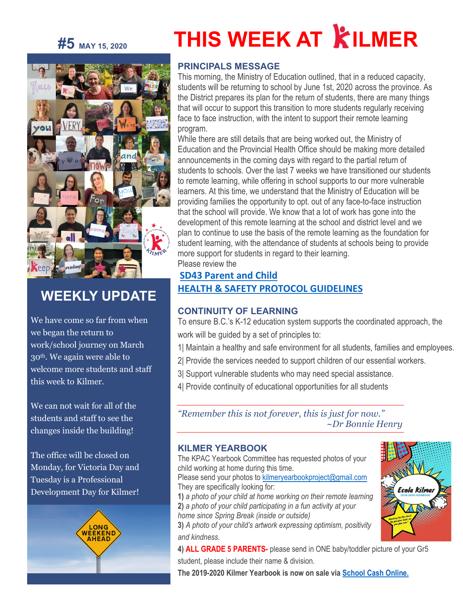# **#5 MAY 15, <sup>2020</sup>**



# **WEEKLY UPDATE**

We have come so far from when we began the return to work/school journey on March 30th. We again were able to welcome more students and staff this week to Kilmer.

We can not wait for all of the students and staff to see the changes inside the building!

The office will be closed on Monday, for Victoria Day and Tuesday is a Professional Development Day for Kilmer!



# **THIS WEEK AT KILMER**

# **PRINCIPALS MESSAGE**

This morning, the Ministry of Education outlined, that in a reduced capacity, students will be returning to school by June 1st, 2020 across the province. As the District prepares its plan for the return of students, there are many things that will occur to support this transition to more students regularly receiving face to face instruction, with the intent to support their remote learning program.

While there are still details that are being worked out, the Ministry of Education and the Provincial Health Office should be making more detailed announcements in the coming days with regard to the partial return of students to schools. Over the last 7 weeks we have transitioned our students to remote learning, while offering in school supports to our more vulnerable learners. At this time, we understand that the Ministry of Education will be providing families the opportunity to opt. out of any face-to-face instruction that the school will provide. We know that a lot of work has gone into the development of this remote learning at the school and district level and we plan to continue to use the basis of the remote learning as the foundation for student learning, with the attendance of students at schools being to provide more support for students in regard to their learning. Please review the

# **[SD43 Parent and Child](https://sd43bcca-my.sharepoint.com/:b:/g/personal/bleavold_sd43_bc_ca/EeLSvNLQO01HsDtLxpxzSy4BUOsjuU7B9kEhA_VPbD_MDg?e=o3qiHP)  [HEALTH & SAFETY PROTOCOL GUIDELINES](https://sd43bcca-my.sharepoint.com/:b:/g/personal/bleavold_sd43_bc_ca/EeLSvNLQO01HsDtLxpxzSy4BUOsjuU7B9kEhA_VPbD_MDg?e=o3qiHP)**

# **CONTINUITY OF LEARNING**

To ensure B.C.'s K-12 education system supports the coordinated approach, the work will be guided by a set of principles to:

- 1| Maintain a healthy and safe environment for all students, families and employees.
- 2| Provide the services needed to support children of our essential workers.
- 3| Support vulnerable students who may need special assistance.
- 4| Provide continuity of educational opportunities for all students

*"Remember this is not forever, this is just for now." ~Dr Bonnie Henry*

# **KILMER YEARBOOK**

The KPAC Yearbook Committee has requested photos of your child working at home during this time.

Please send your photos to kilmeryearbookproject@gmail.com They are specifically looking for:

**1)** *a photo of your child at home working on their remote learning* **2)** *a photo of your child participating in a fun activity at your home since Spring Break (inside or outside)*

**3)** *A photo of your child's artwork expressing optimism, positivity and kindness.*

Ecole Kilme

**4) ALL GRADE 5 PARENTS-** please send in ONE baby/toddler picture of your Gr5 student, please include their name & division.

**The 2019-2020 Kilmer Yearbook is now on sale via [School Cash Online.](https://sd43.schoolcashonline.com/)**